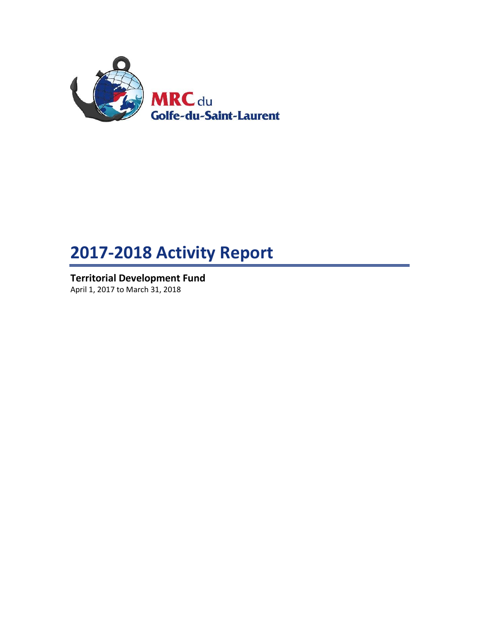

# **2017-2018 Activity Report**

**Territorial Development Fund** April 1, 2017 to March 31, 2018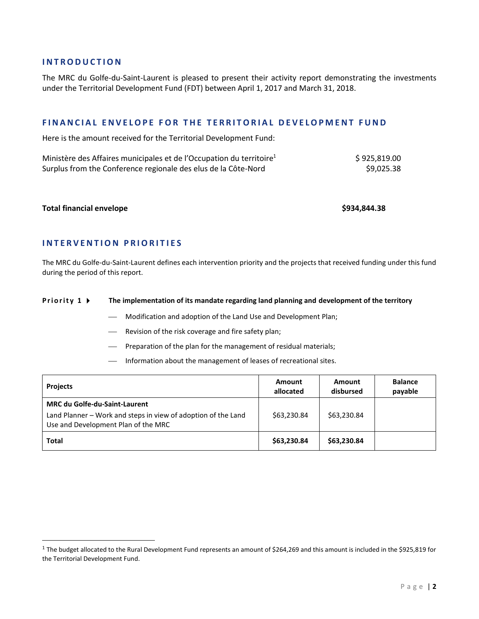## **I N T R O D U C T I O N**

The MRC du Golfe-du-Saint-Laurent is pleased to present their activity report demonstrating the investments under the Territorial Development Fund (FDT) between April 1, 2017 and March 31, 2018.

# **FINANCIAL ENVELOPE FOR THE TERRITORIAL DEVELOPMENT FUND**

Here is the amount received for the Territorial Development Fund:

| Ministère des Affaires municipales et de l'Occupation du territoire <sup>1</sup> | \$925,819.00 |
|----------------------------------------------------------------------------------|--------------|
| Surplus from the Conference regionale des elus de la Côte-Nord                   | \$9,025.38   |

#### **Total financial envelope \$934,844.38**

 $\overline{\phantom{a}}$ 

# **I N T E R V E N T I O N P R I O R I T I E S**

The MRC du Golfe-du-Saint-Laurent defines each intervention priority and the projects that received funding under this fund during the period of this report.

#### **Priority 1**  $\triangleright$  The implementation of its mandate regarding land planning and development of the territory

- Modification and adoption of the Land Use and Development Plan;
- Revision of the risk coverage and fire safety plan;
- Preparation of the plan for the management of residual materials;
- Information about the management of leases of recreational sites.

| <b>Projects</b>                                                                                                                              | Amount<br>allocated | Amount<br>disbursed | <b>Balance</b><br>payable |
|----------------------------------------------------------------------------------------------------------------------------------------------|---------------------|---------------------|---------------------------|
| <b>MRC du Golfe-du-Saint-Laurent</b><br>Land Planner - Work and steps in view of adoption of the Land<br>Use and Development Plan of the MRC | \$63,230.84         | \$63,230.84         |                           |
| Total                                                                                                                                        | \$63,230.84         | \$63,230.84         |                           |

<sup>&</sup>lt;sup>1</sup> The budget allocated to the Rural Development Fund represents an amount of \$264,269 and this amount is included in the \$925,819 for the Territorial Development Fund.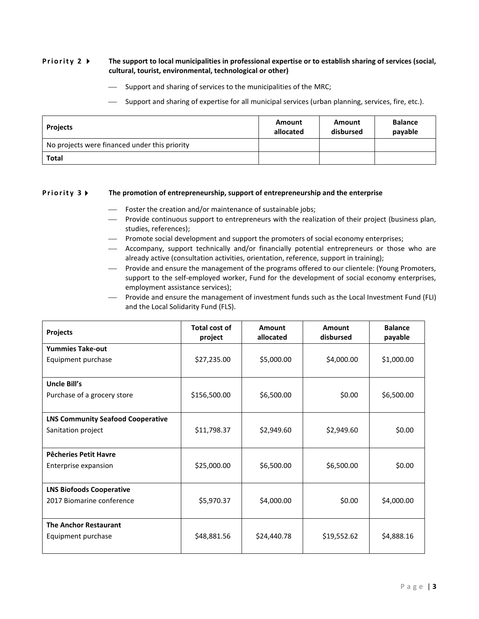### **Priority 2 •** The support to local municipalities in professional expertise or to establish sharing of services (social, **cultural, tourist, environmental, technological or other)**

- Support and sharing of services to the municipalities of the MRC;
- Support and sharing of expertise for all municipal services (urban planning, services, fire, etc.).

| <b>Projects</b>                               | Amount<br>allocated | Amount<br>disbursed | <b>Balance</b><br>payable |
|-----------------------------------------------|---------------------|---------------------|---------------------------|
| No projects were financed under this priority |                     |                     |                           |
| <b>Total</b>                                  |                     |                     |                           |

#### **Priority 3 FI** The promotion of entrepreneurship, support of entrepreneurship and the enterprise

- Foster the creation and/or maintenance of sustainable jobs;
- Provide continuous support to entrepreneurs with the realization of their project (business plan, studies, references);
- Promote social development and support the promoters of social economy enterprises;
- Accompany, support technically and/or financially potential entrepreneurs or those who are already active (consultation activities, orientation, reference, support in training);
- Provide and ensure the management of the programs offered to our clientele: (Young Promoters, support to the self-employed worker, Fund for the development of social economy enterprises, employment assistance services);
- Provide and ensure the management of investment funds such as the Local Investment Fund (FLI) and the Local Solidarity Fund (FLS).

| <b>Projects</b>                          | Total cost of<br>project | Amount<br>allocated | Amount<br>disbursed | <b>Balance</b><br>payable |
|------------------------------------------|--------------------------|---------------------|---------------------|---------------------------|
| <b>Yummies Take-out</b>                  |                          |                     |                     |                           |
| Equipment purchase                       | \$27,235.00              | \$5,000.00          | \$4,000.00          | \$1,000.00                |
|                                          |                          |                     |                     |                           |
| <b>Uncle Bill's</b>                      |                          |                     |                     |                           |
| Purchase of a grocery store              | \$156,500.00             | \$6,500.00          | \$0.00              | \$6,500.00                |
|                                          |                          |                     |                     |                           |
| <b>LNS Community Seafood Cooperative</b> |                          |                     |                     |                           |
| Sanitation project                       | \$11,798.37              | \$2,949.60          | \$2,949.60          | \$0.00                    |
|                                          |                          |                     |                     |                           |
| Pêcheries Petit Havre                    |                          |                     |                     |                           |
| Enterprise expansion                     | \$25,000.00              | \$6,500.00          | \$6,500.00          | \$0.00                    |
|                                          |                          |                     |                     |                           |
| <b>LNS Biofoods Cooperative</b>          |                          |                     |                     |                           |
| 2017 Biomarine conference                | \$5,970.37               | \$4,000.00          | \$0.00              | \$4,000.00                |
|                                          |                          |                     |                     |                           |
| <b>The Anchor Restaurant</b>             |                          |                     |                     |                           |
| Equipment purchase                       | \$48,881.56              | \$24,440.78         | \$19,552.62         | \$4,888.16                |
|                                          |                          |                     |                     |                           |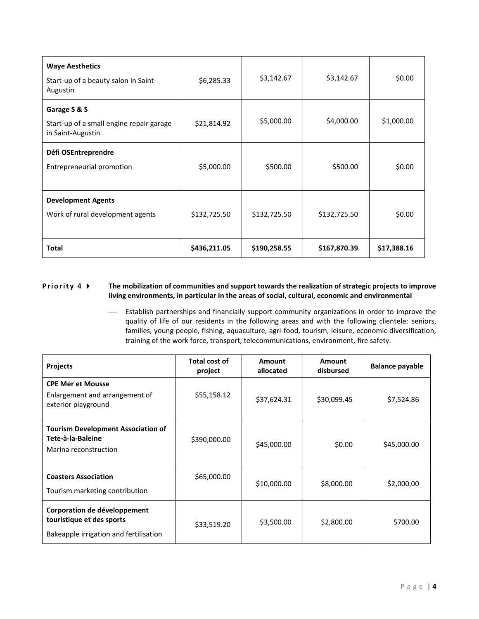| <b>Waye Aesthetics</b><br>Start-up of a beauty salon in Saint-<br>Augustin    | \$6,285.33   | \$3,142.67   | \$3,142.67   | \$0.00      |
|-------------------------------------------------------------------------------|--------------|--------------|--------------|-------------|
| Garage S & S<br>Start-up of a small engine repair garage<br>in Saint-Augustin | \$21,814.92  | \$5,000.00   | \$4,000.00   | \$1,000.00  |
| Défi OSEntreprendre<br>Entrepreneurial promotion                              | \$5,000.00   | \$500.00     | \$500.00     | \$0.00      |
| <b>Development Agents</b><br>Work of rural development agents                 | \$132,725.50 | \$132,725.50 | \$132,725.50 | \$0.00      |
| <b>Total</b>                                                                  | \$436,211.05 | \$190,258.55 | \$167,870.39 | \$17,388.16 |

# **Priority 4**  $\blacktriangleright$  The mobilization of communities and support towards the realization of strategic projects to improve **living environments, in particular in the areas of social, cultural, economic and environmental**

 Establish partnerships and financially support community organizations in order to improve the quality of life of our residents in the following areas and with the following clientele: seniors, families, young people, fishing, aquaculture, agri-food, tourism, leisure, economic diversification, training of the work force, transport, telecommunications, environment, fire safety.

| <b>Projects</b>                                                                                     | <b>Total cost of</b><br>project | Amount<br>allocated | Amount<br>disbursed | <b>Balance payable</b> |
|-----------------------------------------------------------------------------------------------------|---------------------------------|---------------------|---------------------|------------------------|
| <b>CPE Mer et Mousse</b><br>Enlargement and arrangement of<br>exterior playground                   | \$55,158.12                     | \$37,624.31         | \$30,099.45         | \$7,524.86             |
| <b>Tourism Development Association of</b><br>Tete-à-la-Baleine<br>Marina reconstruction             | \$390,000.00                    | \$45,000.00         | \$0.00              | \$45,000.00            |
| <b>Coasters Association</b><br>Tourism marketing contribution                                       | \$65,000.00                     | \$10,000.00         | \$8,000.00          | \$2,000.00             |
| Corporation de développement<br>touristique et des sports<br>Bakeapple irrigation and fertilisation | \$33,519.20                     | \$3,500.00          | \$2,800.00          | \$700.00               |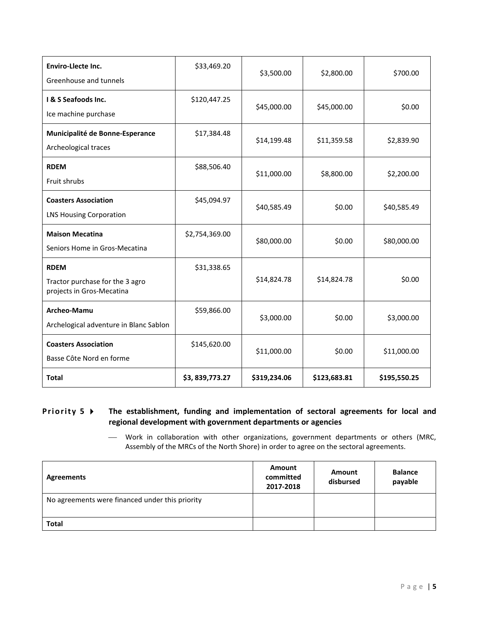| <b>Enviro-Llecte Inc.</b><br>Greenhouse and tunnels                         | \$33,469.20    | \$3,500.00   | \$2,800.00   | \$700.00     |
|-----------------------------------------------------------------------------|----------------|--------------|--------------|--------------|
| I & S Seafoods Inc.<br>Ice machine purchase                                 | \$120,447.25   | \$45,000.00  | \$45,000.00  | \$0.00       |
| Municipalité de Bonne-Esperance<br>Archeological traces                     | \$17,384.48    | \$14,199.48  | \$11,359.58  | \$2,839.90   |
| <b>RDEM</b><br>Fruit shrubs                                                 | \$88,506.40    | \$11,000.00  | \$8,800.00   | \$2,200.00   |
| <b>Coasters Association</b><br><b>LNS Housing Corporation</b>               | \$45,094.97    | \$40,585.49  | \$0.00       | \$40,585.49  |
| <b>Maison Mecatina</b><br>Seniors Home in Gros-Mecatina                     | \$2,754,369.00 | \$80,000.00  | \$0.00       | \$80,000.00  |
| <b>RDEM</b><br>Tractor purchase for the 3 agro<br>projects in Gros-Mecatina | \$31,338.65    | \$14,824.78  | \$14,824.78  | \$0.00       |
| Archeo-Mamu<br>Archelogical adventure in Blanc Sablon                       | \$59,866.00    | \$3,000.00   | \$0.00       | \$3,000.00   |
| <b>Coasters Association</b><br>Basse Côte Nord en forme                     | \$145,620.00   | \$11,000.00  | \$0.00       | \$11,000.00  |
| Total                                                                       | \$3,839,773.27 | \$319,234.06 | \$123,683.81 | \$195,550.25 |

# **Priority 5**  $\triangleright$  The establishment, funding and implementation of sectoral agreements for local and **regional development with government departments or agencies**

 Work in collaboration with other organizations, government departments or others (MRC, Assembly of the MRCs of the North Shore) in order to agree on the sectoral agreements.

| Agreements                                      | Amount<br>committed<br>2017-2018 | Amount<br>disbursed | <b>Balance</b><br>payable |
|-------------------------------------------------|----------------------------------|---------------------|---------------------------|
| No agreements were financed under this priority |                                  |                     |                           |
| <b>Total</b>                                    |                                  |                     |                           |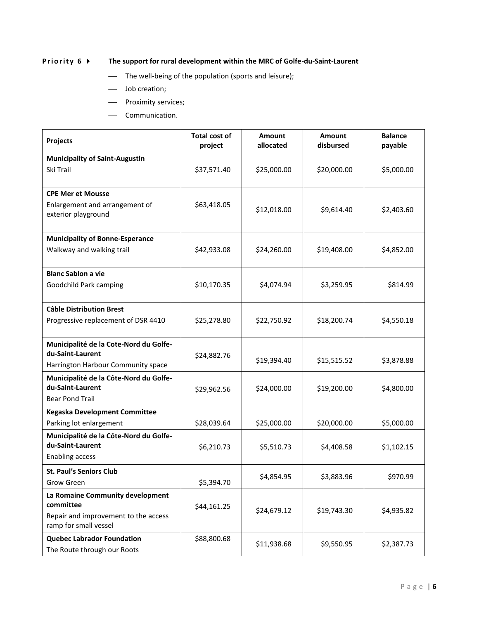# **Priority 6**  $\blacktriangleright$  The support for rural development within the MRC of Golfe-du-Saint-Laurent

- The well-being of the population (sports and leisure);
- Job creation;
- Proximity services;
- Communication.

| Projects                                                         | <b>Total cost of</b><br>project | <b>Amount</b><br>allocated | <b>Amount</b><br>disbursed | <b>Balance</b><br>payable |
|------------------------------------------------------------------|---------------------------------|----------------------------|----------------------------|---------------------------|
| <b>Municipality of Saint-Augustin</b>                            |                                 |                            |                            |                           |
| Ski Trail                                                        | \$37,571.40                     | \$25,000.00                | \$20,000.00                | \$5,000.00                |
| <b>CPE Mer et Mousse</b>                                         |                                 |                            |                            |                           |
| Enlargement and arrangement of<br>exterior playground            | \$63,418.05                     | \$12,018.00                | \$9,614.40                 | \$2,403.60                |
| <b>Municipality of Bonne-Esperance</b>                           |                                 |                            |                            |                           |
| Walkway and walking trail                                        | \$42,933.08                     | \$24,260.00                | \$19,408.00                | \$4,852.00                |
| <b>Blanc Sablon a vie</b>                                        |                                 |                            |                            |                           |
| Goodchild Park camping                                           | \$10,170.35                     | \$4,074.94                 | \$3,259.95                 | \$814.99                  |
| <b>Câble Distribution Brest</b>                                  |                                 |                            |                            |                           |
| Progressive replacement of DSR 4410                              | \$25,278.80                     | \$22,750.92                | \$18,200.74                | \$4,550.18                |
| Municipalité de la Cote-Nord du Golfe-                           |                                 |                            |                            |                           |
| du-Saint-Laurent                                                 | \$24,882.76                     | \$19,394.40                | \$15,515.52                | \$3,878.88                |
| Harrington Harbour Community space                               |                                 |                            |                            |                           |
| Municipalité de la Côte-Nord du Golfe-                           |                                 |                            |                            |                           |
| du-Saint-Laurent                                                 | \$29,962.56                     | \$24,000.00                | \$19,200.00                | \$4,800.00                |
| <b>Bear Pond Trail</b>                                           |                                 |                            |                            |                           |
| Kegaska Development Committee                                    |                                 |                            |                            |                           |
| Parking lot enlargement                                          | \$28,039.64                     | \$25,000.00                | \$20,000.00                | \$5,000.00                |
| Municipalité de la Côte-Nord du Golfe-<br>du-Saint-Laurent       |                                 |                            |                            |                           |
| <b>Enabling access</b>                                           | \$6,210.73                      | \$5,510.73                 | \$4,408.58                 | \$1,102.15                |
| <b>St. Paul's Seniors Club</b>                                   |                                 |                            |                            |                           |
| Grow Green                                                       | \$5,394.70                      | \$4,854.95                 | \$3,883.96                 | \$970.99                  |
| La Romaine Community development                                 |                                 |                            |                            |                           |
| committee                                                        | \$44,161.25                     |                            |                            |                           |
| Repair and improvement to the access<br>ramp for small vessel    |                                 | \$24,679.12                | \$19,743.30                | \$4,935.82                |
| <b>Quebec Labrador Foundation</b><br>The Route through our Roots | \$88,800.68                     | \$11,938.68                | \$9,550.95                 | \$2,387.73                |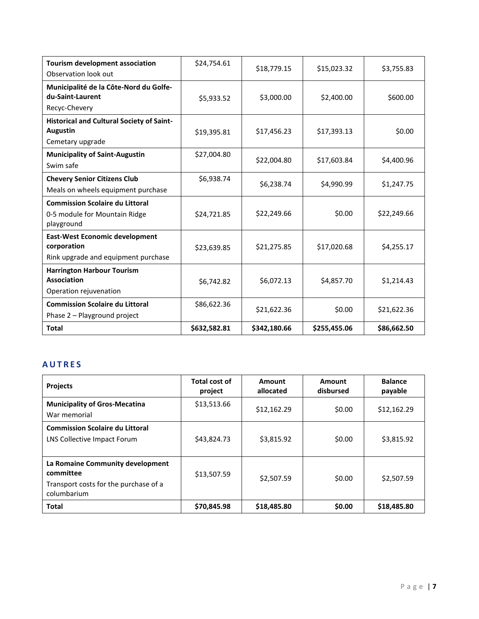| <b>Tourism development association</b><br>Observation look out                              | \$24,754.61  | \$18,779.15  | \$15,023.32  | \$3,755.83  |
|---------------------------------------------------------------------------------------------|--------------|--------------|--------------|-------------|
| Municipalité de la Côte-Nord du Golfe-<br>du-Saint-Laurent<br>Recyc-Chevery                 | \$5,933.52   | \$3,000.00   | \$2,400.00   | \$600.00    |
| <b>Historical and Cultural Society of Saint-</b><br><b>Augustin</b><br>Cemetary upgrade     | \$19,395.81  | \$17,456.23  | \$17,393.13  | \$0.00      |
| <b>Municipality of Saint-Augustin</b><br>Swim safe                                          | \$27,004.80  | \$22,004.80  | \$17,603.84  | \$4,400.96  |
| <b>Chevery Senior Citizens Club</b><br>Meals on wheels equipment purchase                   | \$6,938.74   | \$6,238.74   | \$4,990.99   | \$1,247.75  |
| <b>Commission Scolaire du Littoral</b><br>0-5 module for Mountain Ridge<br>playground       | \$24,721.85  | \$22,249.66  | \$0.00       | \$22,249.66 |
| <b>East-West Economic development</b><br>corporation<br>Rink upgrade and equipment purchase | \$23,639.85  | \$21,275.85  | \$17,020.68  | \$4,255.17  |
| <b>Harrington Harbour Tourism</b><br>Association<br>Operation rejuvenation                  | \$6,742.82   | \$6,072.13   | \$4,857.70   | \$1,214.43  |
| <b>Commission Scolaire du Littoral</b><br>Phase 2 - Playground project                      | \$86,622.36  | \$21,622.36  | \$0.00       | \$21,622.36 |
| <b>Total</b>                                                                                | \$632,582.81 | \$342,180.66 | \$255,455.06 | \$86,662.50 |

# **A U T R E S**

| <b>Projects</b>                                                                                       | Total cost of<br>project | Amount<br>allocated | Amount<br>disbursed | <b>Balance</b><br>payable |
|-------------------------------------------------------------------------------------------------------|--------------------------|---------------------|---------------------|---------------------------|
| <b>Municipality of Gros-Mecatina</b><br>War memorial                                                  | \$13,513.66              | \$12,162.29         | \$0.00              | \$12,162.29               |
| <b>Commission Scolaire du Littoral</b><br>LNS Collective Impact Forum                                 | \$43,824.73              | \$3.815.92          | \$0.00              | \$3,815.92                |
| La Romaine Community development<br>committee<br>Transport costs for the purchase of a<br>columbarium | \$13,507.59              | \$2.507.59          | \$0.00              | \$2,507.59                |
| <b>Total</b>                                                                                          | \$70,845.98              | \$18,485.80         | \$0.00              | \$18,485.80               |